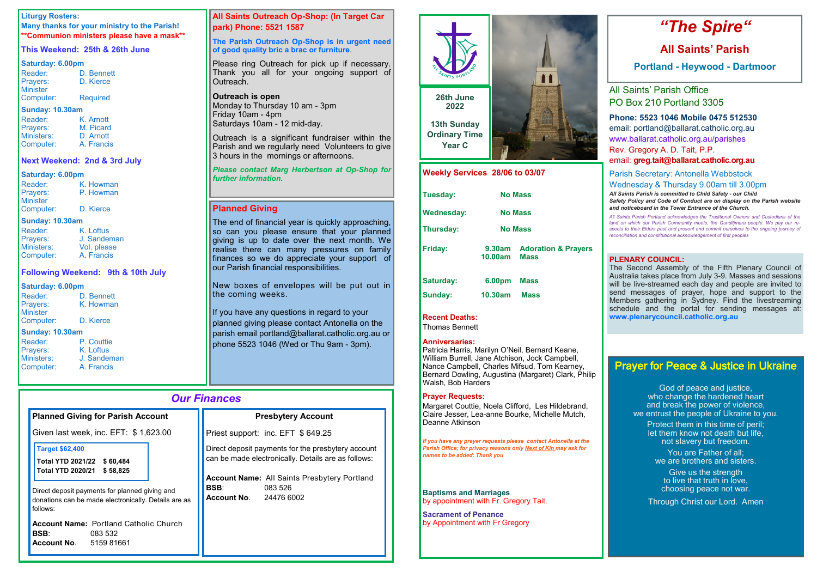# *Our Finances*

| <b>Planned Giving for Parish Account</b>                                                                           | <b>Presbytery Account</b>                                                                                                                                                                  |
|--------------------------------------------------------------------------------------------------------------------|--------------------------------------------------------------------------------------------------------------------------------------------------------------------------------------------|
| Given last week, inc. EFT: \$1,623.00                                                                              | Priest support: inc. EFT \$649.25                                                                                                                                                          |
| <b>Target \$62,400</b><br><b>Total YTD 2021/22</b><br>\$ 60,484<br><b>Total YTD 2020/21</b><br>\$58,825            | Direct deposit payments for the presbytery account<br>can be made electronically. Details are as follows:<br><b>Account Name:</b> All Saints Presbytery Portland<br><b>BSB:</b><br>083 526 |
| Direct deposit payments for planned giving and<br>donations can be made electronically. Details are as<br>follows: | <b>Account No. 24476 6002</b>                                                                                                                                                              |
| <b>Account Name: Portland Catholic Church</b><br><b>BSB:</b><br>083 532<br><b>Account No. 5159 81661</b>           |                                                                                                                                                                                            |

### **Liturgy Rosters:**

**Many thanks for your ministry to the Parish! \*\*Communion ministers please have a mask\*\***

### **This Weekend: 25th & 26th June**

### **Saturday: 6.00pm**

| Reader:         | D. Bennett      |
|-----------------|-----------------|
| Prayers:        | D. Kierce       |
| <b>Minister</b> |                 |
| Computer:       | <b>Required</b> |

### **Sunday: 10.30am**

Outreach is a significant fundraiser within the Parish and we regularly need Volunteers to give 3 hours in the mornings or afternoons.

| Reader:    | K. Arnott  |
|------------|------------|
| Prayers:   | M. Picard  |
| Ministers: | D. Arnott  |
| Computer:  | A. Francis |

### **Next Weekend: 2nd & 3rd July**

### **Saturday: 6.00pm**

The end of financial year is quickly approaching, so can you please ensure that your planned giving is up to date over the next month. We realise there can many pressures on family finances so we do appreciate your support of our Parish financial responsibilities.

| Reader:                     | K. Howman |
|-----------------------------|-----------|
| Prayers:<br><b>Minister</b> | P. Howman |
| Computer:                   | D. Kierce |

### **Sunday: 10.30am**

| Reader:           | K. Loftus   |
|-------------------|-------------|
| Prayers:          | J. Sandeman |
| <b>Ministers:</b> | Vol. please |
| Computer:         | A. Francis  |

| Loftus         |
|----------------|
| Sandeman       |
| งl. please     |
| <b>Francis</b> |

New boxes of envelopes will be put out in the coming weeks.

### **Following Weekend: 9th & 10th July**

### **Saturday: 6.00pm**

| Reader:                | D. Bennett |
|------------------------|------------|
| Prayers:               | K. Howman  |
| Minister               |            |
| Computer:              | D. Kierce  |
| <b>Sunday: 10.30am</b> |            |

| Reader:    |
|------------|
| Prayers:   |
| Ministers: |
| Computer   |

P. Couttie K. Loftus J. Sandeman A. Francis

If you have any questions in regard to your planned giving please contact Antonella on the parish email portland@ballarat.catholic.org.au or phone 5523 1046 (Wed or Thu 9am - 3pm).

## **All Saints Outreach Op-Shop: (In Target Car park) Phone: 5521 1587**

### **The Parish Outreach Op-Shop is in urgent need of good quality bric a brac or furniture**.

Please ring Outreach for pick up if necessary. Thank you all for your ongoing support of Outreach.

### **Outreach is open**

Monday to Thursday 10 am - 3pm Friday 10am - 4pm Saturdays 10am - 12 mid-day.

### *Please contact Marg Herbertson at Op-Shop for further information.*

# **Planned Giving**

God of peace and justice, who change the hardened heart and break the power of violence, we entrust the people of Ukraine to you.

# *"The Spire"*

# **All Saints' Parish**

**Portland - Heywood - Dartmoor**

All Saints' Parish Office PO Box 210 Portland 3305

# **Phone: 5523 1046 Mobile 0475 512530**

email: portland@ballarat.catholic.org.au www.ballarat.catholic.org.au/parishes Rev. Gregory A. D. Tait, P.P.

email: **greg.tait@ballarat.catholic.org.au**

Parish Secretary: Antonella Webbstock Wednesday & Thursday 9.00am till 3.00pm

*All Saints Parish is committed to Child Safety - our Child Safety Policy and Code of Conduct are on display on the Parish website and noticeboard in the Tower Entrance of the Church.*

*All Saints Parish Portland acknowledges the Traditional Owners and Custodians of the land on which our Parish Community meets, the Gunditjmara people. We pay our respects to their Elders past and present and commit ourselves to the ongoing journey of reconciliation and constitutional acknowledgement of first peoples*

| Weekly Services 28/06 to 03/07 |                   |                                               |  |
|--------------------------------|-------------------|-----------------------------------------------|--|
| Tuesday:                       |                   | <b>No Mass</b>                                |  |
| <b>Wednesday:</b>              |                   | <b>No Mass</b>                                |  |
| Thursday:                      | <b>No Mass</b>    |                                               |  |
| <b>Friday:</b>                 | 9.30am<br>10.00am | <b>Adoration &amp; Prayers</b><br><b>Mass</b> |  |
| <b>Saturday:</b>               | 6.00pm            | <b>Mass</b>                                   |  |
| Sunday:                        | 10.30am           | <b>Mass</b>                                   |  |

**Recent Deaths:** 

Thomas Bennett

### **Anniversaries:**

Patricia Harris, Marilyn O'Neil, Bernard Keane, William Burrell, Jane Atchison, Jock Campbell, Nance Campbell, Charles Mifsud, Tom Kearney, Bernard Dowling, Augustina (Margaret) Clark, Philip Walsh, Bob Harders

### **Prayer Requests:**

Margaret Couttie, Noela Clifford, Les Hildebrand, Claire Jesser, Lea-anne Bourke, Michelle Mutch, Deanne Atkinson

*If you have any prayer requests please contact Antonella at the Parish Office; for privacy reasons only Next of Kin may ask for names to be added: Thank you*

**Baptisms and Marriages**  by appointment with Fr. Gregory Tait.

**Sacrament of Penance**  by Appointment with Fr Gregory



# Prayer for Peace & Justice in Ukraine

Protect them in this time of peril; let them know not death but life, not slavery but freedom. You are Father of all;

we are brothers and sisters.

Give us the strength to live that truth in love, choosing peace not war.

Through Christ our Lord. Amen

### **PLENARY COUNCIL:**

The Second Assembly of the Fifth Plenary Council of Australia takes place from July 3-9. Masses and sessions will be live-streamed each day and people are invited to send messages of prayer, hope and support to the Members gathering in Sydney. Find the livestreaming schedule and the portal for sending messages at: **www.plenarycouncil.catholic.org.au**